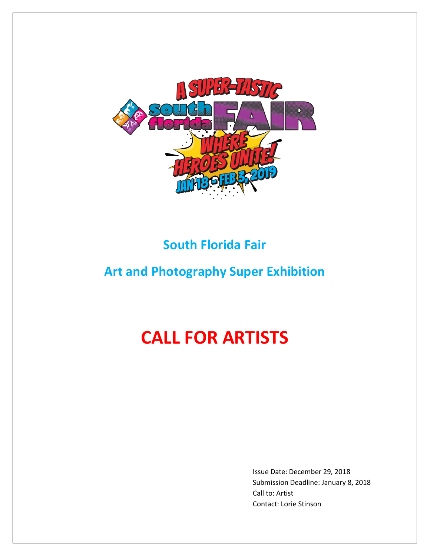

# **South Florida Fair**

# **Art and Photography Super Exhibition**

# **CALL FOR ARTISTS**

Issue Date: December 29, 2018 Submission Deadline: January 8, 2018 Call to: Artist Contact: Lorie Stinson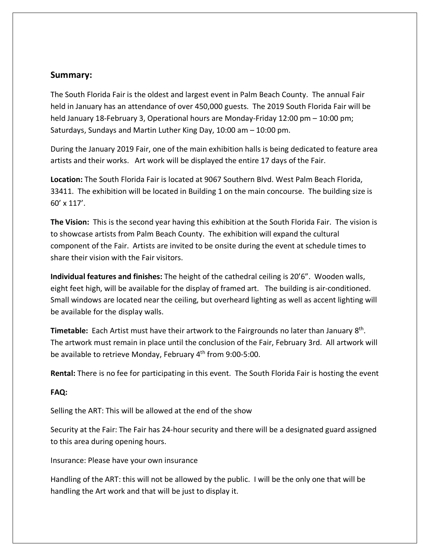## **Summary:**

The South Florida Fair is the oldest and largest event in Palm Beach County. The annual Fair held in January has an attendance of over 450,000 guests. The 2019 South Florida Fair will be held January 18-February 3, Operational hours are Monday-Friday 12:00 pm – 10:00 pm; Saturdays, Sundays and Martin Luther King Day, 10:00 am – 10:00 pm.

During the January 2019 Fair, one of the main exhibition halls is being dedicated to feature area artists and their works. Art work will be displayed the entire 17 days of the Fair.

**Location:** The South Florida Fair is located at 9067 Southern Blvd. West Palm Beach Florida, 33411. The exhibition will be located in Building 1 on the main concourse. The building size is 60' x 117'.

**The Vision:** This is the second year having this exhibition at the South Florida Fair. The vision is to showcase artists from Palm Beach County. The exhibition will expand the cultural component of the Fair. Artists are invited to be onsite during the event at schedule times to share their vision with the Fair visitors.

**Individual features and finishes:** The height of the cathedral ceiling is 20'6". Wooden walls, eight feet high, will be available for the display of framed art. The building is air-conditioned. Small windows are located near the ceiling, but overheard lighting as well as accent lighting will be available for the display walls.

**Timetable:** Each Artist must have their artwork to the Fairgrounds no later than January 8th. The artwork must remain in place until the conclusion of the Fair, February 3rd. All artwork will be available to retrieve Monday, February 4<sup>th</sup> from 9:00-5:00.

**Rental:** There is no fee for participating in this event. The South Florida Fair is hosting the event

#### **FAQ:**

Selling the ART: This will be allowed at the end of the show

Security at the Fair: The Fair has 24-hour security and there will be a designated guard assigned to this area during opening hours.

Insurance: Please have your own insurance

Handling of the ART: this will not be allowed by the public. I will be the only one that will be handling the Art work and that will be just to display it.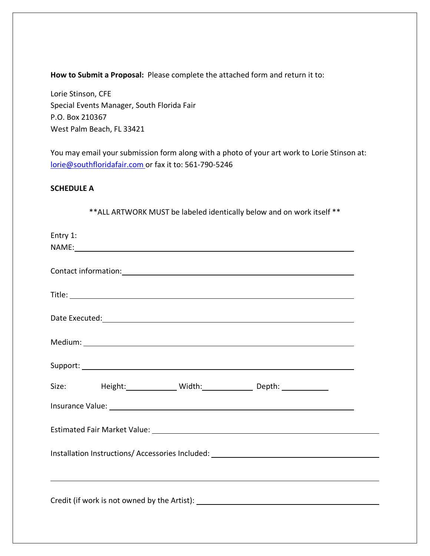**How to Submit a Proposal:** Please complete the attached form and return it to:

Lorie Stinson, CFE Special Events Manager, South Florida Fair P.O. Box 210367 West Palm Beach, FL 33421

You may email your submission form along with a photo of your art work to Lorie Stinson at: lorie@southfloridafair.com or fax it to: 561-790-5246

### **SCHEDULE A**

\*\*ALL ARTWORK MUST be labeled identically below and on work itself \*\*